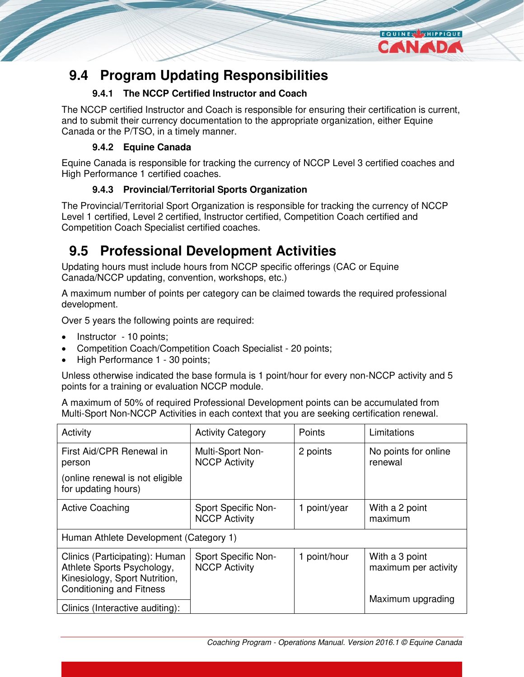

## **9.4.1 The NCCP Certified Instructor and Coach**

The NCCP certified Instructor and Coach is responsible for ensuring their certification is current, and to submit their currency documentation to the appropriate organization, either Equine Canada or the P/TSO, in a timely manner.

**EQUINER THIPPIQUE** CANADA

## **9.4.2 Equine Canada**

Equine Canada is responsible for tracking the currency of NCCP Level 3 certified coaches and High Performance 1 certified coaches.

## **9.4.3 Provincial/Territorial Sports Organization**

The Provincial/Territorial Sport Organization is responsible for tracking the currency of NCCP Level 1 certified, Level 2 certified, Instructor certified, Competition Coach certified and Competition Coach Specialist certified coaches.

## **9.5 Professional Development Activities**

Updating hours must include hours from NCCP specific offerings (CAC or Equine Canada/NCCP updating, convention, workshops, etc.)

A maximum number of points per category can be claimed towards the required professional development.

Over 5 years the following points are required:

- Instructor 10 points;
- Competition Coach/Competition Coach Specialist 20 points;
- High Performance 1 30 points;

Unless otherwise indicated the base formula is 1 point/hour for every non-NCCP activity and 5 points for a training or evaluation NCCP module.

A maximum of 50% of required Professional Development points can be accumulated from Multi-Sport Non-NCCP Activities in each context that you are seeking certification renewal.

| Activity                                                                                                                         | <b>Activity Category</b>                    | Points       | Limitations                            |  |  |
|----------------------------------------------------------------------------------------------------------------------------------|---------------------------------------------|--------------|----------------------------------------|--|--|
| First Aid/CPR Renewal in<br>person                                                                                               | Multi-Sport Non-<br><b>NCCP Activity</b>    | 2 points     | No points for online<br>renewal        |  |  |
| (online renewal is not eligible<br>for updating hours)                                                                           |                                             |              |                                        |  |  |
| <b>Active Coaching</b>                                                                                                           | Sport Specific Non-<br><b>NCCP Activity</b> | 1 point/year | With a 2 point<br>maximum              |  |  |
| Human Athlete Development (Category 1)                                                                                           |                                             |              |                                        |  |  |
| Clinics (Participating): Human<br>Athlete Sports Psychology,<br>Kinesiology, Sport Nutrition,<br><b>Conditioning and Fitness</b> | Sport Specific Non-<br><b>NCCP Activity</b> | 1 point/hour | With a 3 point<br>maximum per activity |  |  |
| Clinics (Interactive auditing):                                                                                                  |                                             |              | Maximum upgrading                      |  |  |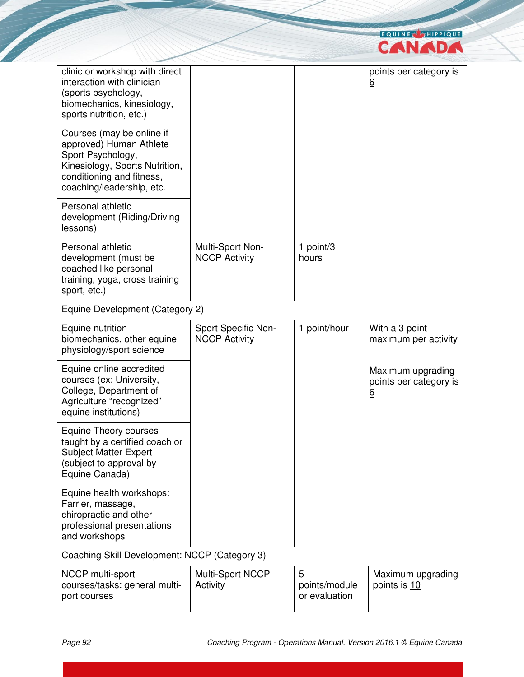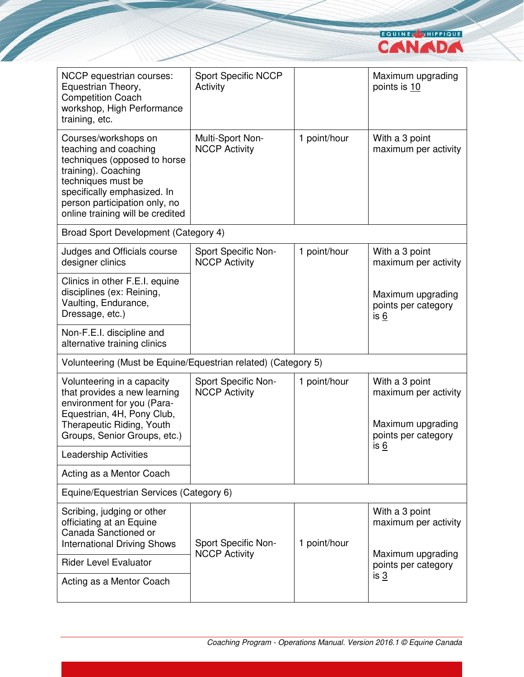

| NCCP equestrian courses:<br>Equestrian Theory,<br><b>Competition Coach</b><br>workshop, High Performance<br>training, etc.                                                                                                     | <b>Sport Specific NCCP</b><br>Activity      |              | Maximum upgrading<br>points is 10                                                  |  |  |
|--------------------------------------------------------------------------------------------------------------------------------------------------------------------------------------------------------------------------------|---------------------------------------------|--------------|------------------------------------------------------------------------------------|--|--|
| Courses/workshops on<br>teaching and coaching<br>techniques (opposed to horse<br>training). Coaching<br>techniques must be<br>specifically emphasized. In<br>person participation only, no<br>online training will be credited | Multi-Sport Non-<br><b>NCCP Activity</b>    | 1 point/hour | With a 3 point<br>maximum per activity                                             |  |  |
| Broad Sport Development (Category 4)                                                                                                                                                                                           |                                             |              |                                                                                    |  |  |
| Judges and Officials course<br>designer clinics                                                                                                                                                                                | Sport Specific Non-<br><b>NCCP Activity</b> | 1 point/hour | With a 3 point<br>maximum per activity                                             |  |  |
| Clinics in other F.E.I. equine<br>disciplines (ex: Reining,<br>Vaulting, Endurance,<br>Dressage, etc.)                                                                                                                         |                                             |              | Maximum upgrading<br>points per category<br>is 6                                   |  |  |
| Non-F.E.I. discipline and<br>alternative training clinics                                                                                                                                                                      |                                             |              |                                                                                    |  |  |
| Volunteering (Must be Equine/Equestrian related) (Category 5)                                                                                                                                                                  |                                             |              |                                                                                    |  |  |
| Volunteering in a capacity<br>that provides a new learning<br>environment for you (Para-<br>Equestrian, 4H, Pony Club,<br>Therapeutic Riding, Youth<br>Groups, Senior Groups, etc.)                                            | Sport Specific Non-<br><b>NCCP Activity</b> | 1 point/hour | With a 3 point<br>maximum per activity<br>Maximum upgrading<br>points per category |  |  |
| <b>Leadership Activities</b>                                                                                                                                                                                                   |                                             |              | is 6                                                                               |  |  |
| Acting as a Mentor Coach                                                                                                                                                                                                       |                                             |              |                                                                                    |  |  |
| Equine/Equestrian Services (Category 6)                                                                                                                                                                                        |                                             |              |                                                                                    |  |  |
| Scribing, judging or other<br>officiating at an Equine<br>Canada Sanctioned or<br><b>International Driving Shows</b>                                                                                                           | Sport Specific Non-                         | 1 point/hour | With a 3 point<br>maximum per activity                                             |  |  |
| <b>Rider Level Evaluator</b>                                                                                                                                                                                                   | <b>NCCP Activity</b>                        |              | Maximum upgrading<br>points per category                                           |  |  |
| Acting as a Mentor Coach                                                                                                                                                                                                       |                                             |              | is <u>3</u>                                                                        |  |  |